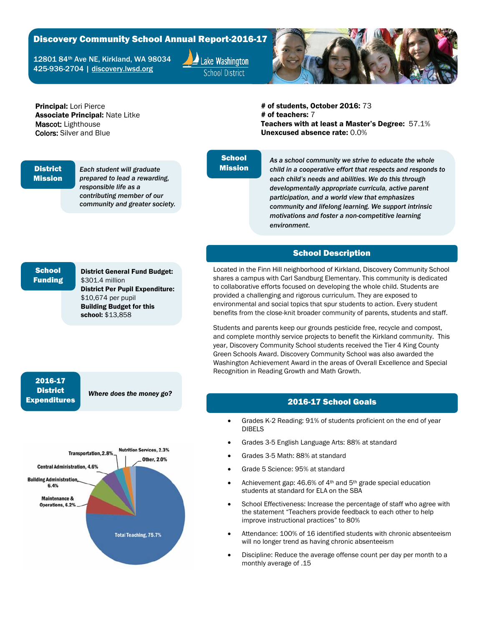## Discovery Community School Annual Report-2016-17

12801 84th Ave NE, Kirkland, WA 98034 425-936-2704 | [discovery.lwsd.org](http://discovery.lwsd.org/)

Lake Washington **School District** 



Principal: Lori Pierce Associate Principal: Nate Litke Mascot: Lighthouse Colors: Silver and Blue

# of students, October 2016: 73 # of teachers: 7 Teachers with at least a Master's Degree: 57.1% Unexcused absence rate: 0.0%

#### **District** Mission

*Each student will graduate prepared to lead a rewarding, responsible life as a contributing member of our community and greater society.*

## **School** Mission

*As a school community we strive to educate the whole child in a cooperative effort that respects and responds to each child's needs and abilities. We do this through developmentally appropriate curricula, active parent participation, and a world view that emphasizes community and lifelong learning. We support intrinsic motivations and foster a non-competitive learning environment*.

#### School Description

Located in the Finn Hill neighborhood of Kirkland, Discovery Community School shares a campus with Carl Sandburg Elementary. This community is dedicated to collaborative efforts focused on developing the whole child. Students are provided a challenging and rigorous curriculum. They are exposed to environmental and social topics that spur students to action. Every student benefits from the close-knit broader community of parents, students and staff.

Students and parents keep our grounds pesticide free, recycle and compost, and complete monthly service projects to benefit the Kirkland community. This year, Discovery Community School students received the Tier 4 King County Green Schools Award. Discovery Community School was also awarded the Washington Achievement Award in the areas of Overall Excellence and Special Recognition in Reading Growth and Math Growth.

#### 2016-17 School Goals

- Grades K-2 Reading: 91% of students proficient on the end of year DIBELS
- Grades 3-5 English Language Arts: 88% at standard
- Grades 3-5 Math: 88% at standard
- Grade 5 Science: 95% at standard
- Achievement gap: 46.6% of 4<sup>th</sup> and 5<sup>th</sup> grade special education students at standard for ELA on the SBA
- School Effectiveness: Increase the percentage of staff who agree with the statement "Teachers provide feedback to each other to help improve instructional practices" to 80%
- Attendance: 100% of 16 identified students with chronic absenteeism will no longer trend as having chronic absenteeism
- Discipline: Reduce the average offense count per day per month to a monthly average of .15

# **School** Funding

District General Fund Budget: \$301.4 million District Per Pupil Expenditure: \$10,674 per pupil Building Budget for this school: \$13,858

## 2016-17 **District** Expenditures

*Where does the money go?*